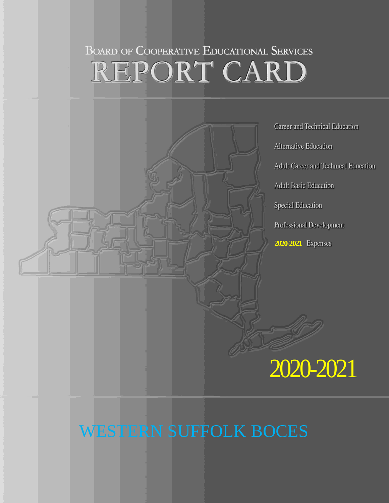# **BOARD OF COOPERATIVE EDUCATIONAL SERVICES** REPORT CARD



## WESTERN SUFFOLK BOCES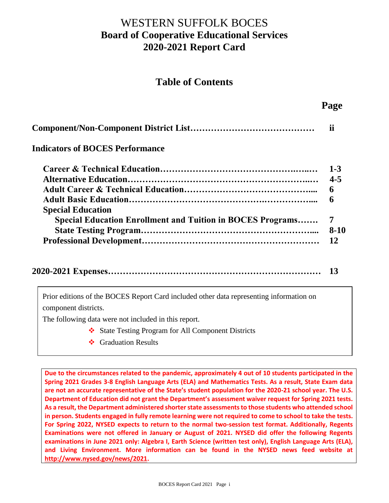## WESTERN SUFFOLK BOCES **Board of Cooperative Educational Services 2020-2021 Report Card**

#### **Table of Contents**

 **Page**

| <b>Indicators of BOCES Performance</b>                                                        |                                             |  |  |  |  |
|-----------------------------------------------------------------------------------------------|---------------------------------------------|--|--|--|--|
| <b>Special Education</b><br><b>Special Education Enrollment and Tuition in BOCES Programs</b> | $1 - 3$<br>$4 - 5$<br>6<br>6<br>7<br>$8-10$ |  |  |  |  |
|                                                                                               | 12                                          |  |  |  |  |

|  | <b>13</b> |
|--|-----------|
|--|-----------|

Prior editions of the BOCES Report Card included other data representing information on component districts.

The following data were not included in this report.

- ❖ State Testing Program for All Component Districts
- ❖ Graduation Results

**Due to the circumstances related to the pandemic, approximately 4 out of 10 students participated in the Spring 2021 Grades 3-8 English Language Arts (ELA) and Mathematics Tests. As a result, State Exam data are not an accurate representative of the State's student population for the 2020-21 school year. The U.S. Department of Education did not grant the Department's assessment waiver request for Spring 2021 tests. As a result, the Department administered shorter state assessments to those students who attended school in person. Students engaged in fully remote learning were not required to come to school to take the tests. For Spring 2022, NYSED expects to return to the normal two-session test format. Additionally, Regents Examinations were not offered in January or August of 2021. NYSED did offer the following Regents examinations in June 2021 only: Algebra I, Earth Science (written test only), English Language Arts (ELA), and Living Environment. More information can be found in the NYSED news feed website at [http://www.nysed.gov/news/2021.](http://www.nysed.gov/news/2021)**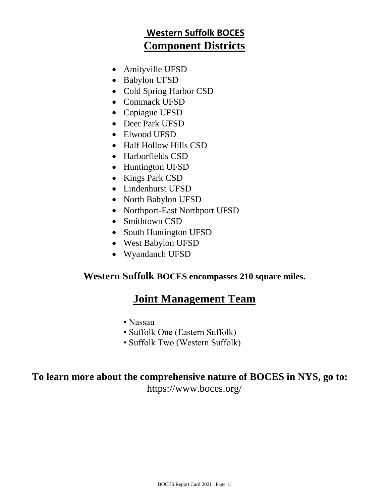## **Western Suffolk BOCES Component Districts**

- Amityville UFSD
- Babylon UFSD
- Cold Spring Harbor CSD
- Commack UFSD
- Copiague UFSD
- Deer Park UFSD
- Elwood UFSD
- Half Hollow Hills CSD
- Harborfields CSD
- Huntington UFSD
- Kings Park CSD
- Lindenhurst UFSD
- North Babylon UFSD
- Northport-East Northport UFSD
- Smithtown CSD
- South Huntington UFSD
- West Babylon UFSD
- Wyandanch UFSD

#### **Western Suffolk BOCES encompasses 210 square miles.**

## **Joint Management Team**

- Nassau
- Suffolk One (Eastern Suffolk)
- Suffolk Two (Western Suffolk)

## **To learn more about the comprehensive nature of BOCES in NYS, go to:**

https://www.boces.org/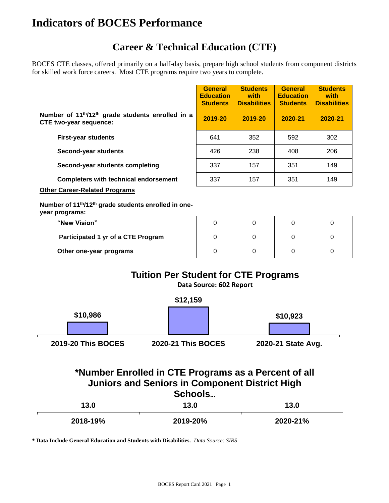## **Indicators of BOCES Performance**

## **Career & Technical Education (CTE)**

BOCES CTE classes, offered primarily on a half-day basis, prepare high school students from component districts for skilled work force careers. Most CTE programs require two years to complete.

|                                                                                                                          |          | <b>General</b><br><b>Education</b><br><b>Students</b> | <b>Students</b><br>with<br><b>Disabilities</b> | <b>General</b><br><b>Education</b><br><b>Students</b> | <b>Students</b><br>with<br><b>Disabilities</b> |  |  |  |
|--------------------------------------------------------------------------------------------------------------------------|----------|-------------------------------------------------------|------------------------------------------------|-------------------------------------------------------|------------------------------------------------|--|--|--|
| Number of 11 <sup>th</sup> /12 <sup>th</sup> grade students enrolled in a<br><b>CTE two-year sequence:</b>               |          | 2019-20                                               | 2019-20                                        | 2020-21                                               | 2020-21                                        |  |  |  |
| <b>First-year students</b>                                                                                               |          | 641                                                   | 352                                            | 592                                                   | 302                                            |  |  |  |
| Second-year students                                                                                                     |          | 426                                                   | 238                                            | 408                                                   | 206                                            |  |  |  |
| Second-year students completing                                                                                          |          | 337                                                   | 157                                            | 351                                                   | 149                                            |  |  |  |
| <b>Completers with technical endorsement</b>                                                                             |          | 337                                                   | 157                                            | 351                                                   | 149                                            |  |  |  |
| <b>Other Career-Related Programs</b>                                                                                     |          |                                                       |                                                |                                                       |                                                |  |  |  |
| Number of 11 <sup>th</sup> /12 <sup>th</sup> grade students enrolled in one-<br>year programs:                           |          |                                                       |                                                |                                                       |                                                |  |  |  |
| "New Vision"                                                                                                             |          | 0                                                     | 0                                              | 0                                                     | 0                                              |  |  |  |
| Participated 1 yr of a CTE Program                                                                                       |          | 0                                                     | $\Omega$                                       | 0                                                     | 0                                              |  |  |  |
| Other one-year programs                                                                                                  |          | $\Omega$                                              | $\Omega$                                       | $\Omega$                                              | $\Omega$                                       |  |  |  |
| <b>Tuition Per Student for CTE Programs</b>                                                                              |          | Data Source: 602 Report                               |                                                |                                                       |                                                |  |  |  |
|                                                                                                                          | \$12,159 |                                                       |                                                |                                                       |                                                |  |  |  |
| \$10,986                                                                                                                 |          |                                                       |                                                | \$10,923                                              |                                                |  |  |  |
|                                                                                                                          |          |                                                       |                                                |                                                       |                                                |  |  |  |
| <b>2019-20 This BOCES</b>                                                                                                |          | <b>2020-21 This BOCES</b>                             |                                                | 2020-21 State Avg.                                    |                                                |  |  |  |
| *Number Enrolled in CTE Programs as a Percent of all<br><b>Juniors and Seniors in Component District High</b><br>Schools |          |                                                       |                                                |                                                       |                                                |  |  |  |

| 13.0     | 13.0     | 13.0     |  |
|----------|----------|----------|--|
| 2018-19% | 2019-20% | 2020-21% |  |

**\* Data Include General Education and Students with Disabilities.** *Data Source: SIRS*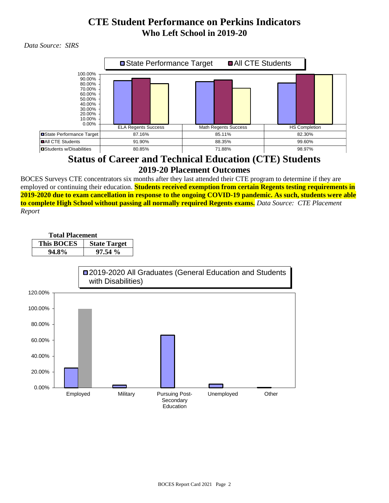## **CTE Student Performance on Perkins Indicators Who Left School in 2019-20**

 *Data Source: SIRS*



#### **Status of Career and Technical Education (CTE) Students 2019-20 Placement Outcomes**

BOCES Surveys CTE concentrators six months after they last attended their CTE program to determine if they are employed or continuing their education. **Students received exemption from certain Regents testing requirements in 2019-2020 due to exam cancellation in response to the ongoing COVID-19 pandemic. As such, students were able to complete High School without passing all normally required Regents exams.** *Data Source: CTE Placement Report*

| <b>Total Placement</b> |                   |                     |  |  |  |
|------------------------|-------------------|---------------------|--|--|--|
|                        | <b>This BOCES</b> | <b>State Target</b> |  |  |  |
|                        | 94.8%             | 97.54%              |  |  |  |

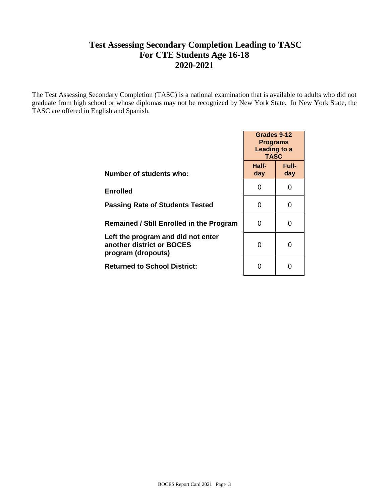#### **Test Assessing Secondary Completion Leading to TASC For CTE Students Age 16-18 2020-2021**

The Test Assessing Secondary Completion (TASC) is a national examination that is available to adults who did not graduate from high school or whose diplomas may not be recognized by New York State. In New York State, the TASC are offered in English and Spanish.

|                                                                                       | Grades 9-12<br><b>Programs</b><br>Leading to a<br><b>TASC</b> |                     |  |
|---------------------------------------------------------------------------------------|---------------------------------------------------------------|---------------------|--|
| Number of students who:                                                               | Half-<br>day                                                  | <b>Full-</b><br>day |  |
| <b>Enrolled</b>                                                                       | Ω                                                             | 0                   |  |
| <b>Passing Rate of Students Tested</b>                                                | ∩                                                             | O                   |  |
| <b>Remained / Still Enrolled in the Program</b>                                       | O                                                             | O                   |  |
| Left the program and did not enter<br>another district or BOCES<br>program (dropouts) | O                                                             | ŋ                   |  |
| <b>Returned to School District:</b>                                                   |                                                               |                     |  |
|                                                                                       |                                                               |                     |  |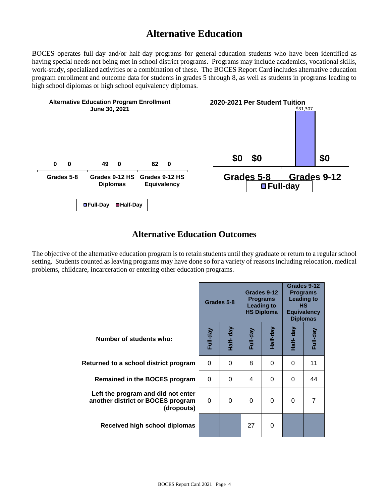## **Alternative Education**

BOCES operates full-day and/or half-day programs for general-education students who have been identified as having special needs not being met in school district programs. Programs may include academics, vocational skills, work-study, specialized activities or a combination of these. The BOCES Report Card includes alternative education program enrollment and outcome data for students in grades 5 through 8, as well as students in programs leading to high school diplomas or high school equivalency diplomas.



#### **Alternative Education Outcomes**

The objective of the alternative education program is to retain students until they graduate or return to a regular school setting. Students counted as leaving programs may have done so for a variety of reasons including relocation, medical problems, childcare, incarceration or entering other education programs.

|                                                                                       | Grades 5-8 |          |          | Grades 9-12<br><b>Programs</b><br><b>Leading to</b><br><b>HS Diploma</b> | Grades 9-12<br><b>Programs</b><br><b>Leading to</b><br><b>HS</b><br><b>Equivalency</b><br><b>Diplomas</b> |          |
|---------------------------------------------------------------------------------------|------------|----------|----------|--------------------------------------------------------------------------|-----------------------------------------------------------------------------------------------------------|----------|
| Number of students who:                                                               | Full-day   | Half-day | Full-day | Half-day                                                                 | Half- day                                                                                                 | Full-day |
| Returned to a school district program                                                 | $\Omega$   | 0        | 8        | $\Omega$                                                                 | $\Omega$                                                                                                  | 11       |
| Remained in the BOCES program                                                         | $\Omega$   | $\Omega$ | 4        | $\Omega$                                                                 | $\Omega$                                                                                                  | 44       |
| Left the program and did not enter<br>another district or BOCES program<br>(dropouts) | 0          | 0        | $\Omega$ | $\Omega$                                                                 | $\Omega$                                                                                                  | 7        |
| Received high school diplomas                                                         |            |          | 27       | $\Omega$                                                                 |                                                                                                           |          |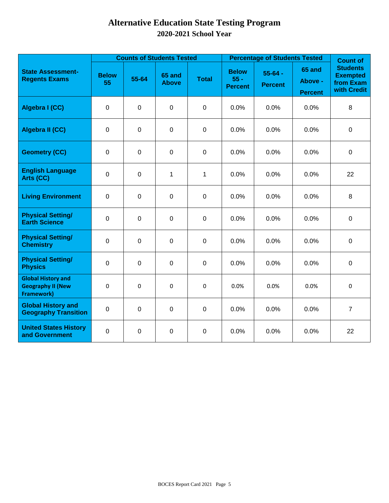### **Alternative Education State Testing Program 2020-2021 School Year**

|                                                                            |                    |             | <b>Counts of Students Tested</b> |              | <b>Percentage of Students Tested</b>     | <b>Count of</b>               |                                     |                                                                |
|----------------------------------------------------------------------------|--------------------|-------------|----------------------------------|--------------|------------------------------------------|-------------------------------|-------------------------------------|----------------------------------------------------------------|
| <b>State Assessment-</b><br><b>Regents Exams</b>                           | <b>Below</b><br>55 | 55-64       | 65 and<br><b>Above</b>           | <b>Total</b> | <b>Below</b><br>$55 -$<br><b>Percent</b> | $55 - 64 -$<br><b>Percent</b> | 65 and<br>Above -<br><b>Percent</b> | <b>Students</b><br><b>Exempted</b><br>from Exam<br>with Credit |
| Algebra I (CC)                                                             | $\mathbf 0$        | $\mathbf 0$ | $\mathbf 0$                      | $\mathbf 0$  | 0.0%                                     | 0.0%                          | 0.0%                                | 8                                                              |
| <b>Algebra II (CC)</b>                                                     | $\mathbf 0$        | $\mathbf 0$ | $\mathbf 0$                      | $\mathbf 0$  | 0.0%                                     | 0.0%                          | 0.0%                                | $\mathbf 0$                                                    |
| <b>Geometry (CC)</b>                                                       | 0                  | 0           | $\mathbf 0$                      | $\mathbf 0$  | 0.0%                                     | 0.0%                          | 0.0%                                | $\mathbf 0$                                                    |
| <b>English Language</b><br>Arts (CC)                                       | $\mathbf 0$        | $\mathbf 0$ | 1                                | 1            | 0.0%                                     | 0.0%                          | 0.0%                                | 22                                                             |
| <b>Living Environment</b>                                                  | $\mathbf 0$        | $\mathbf 0$ | $\pmb{0}$                        | $\mathbf 0$  | 0.0%                                     | 0.0%                          | 0.0%                                | 8                                                              |
| <b>Physical Setting/</b><br><b>Earth Science</b>                           | $\overline{0}$     | $\mathbf 0$ | $\mathbf 0$                      | $\mathbf 0$  | 0.0%                                     | 0.0%                          | 0.0%                                | $\mathbf 0$                                                    |
| <b>Physical Setting/</b><br><b>Chemistry</b>                               | $\mathbf 0$        | $\mathbf 0$ | $\mathbf 0$                      | $\mathbf 0$  | 0.0%                                     | 0.0%                          | 0.0%                                | $\mathbf 0$                                                    |
| <b>Physical Setting/</b><br><b>Physics</b>                                 | $\mathbf 0$        | $\mathbf 0$ | $\mathbf 0$                      | $\mathbf 0$  | 0.0%                                     | 0.0%                          | 0.0%                                | $\mathbf 0$                                                    |
| <b>Global History and</b><br><b>Geography II (New</b><br><b>Framework)</b> | 0                  | $\mathbf 0$ | 0                                | 0            | 0.0%                                     | 0.0%                          | 0.0%                                | $\pmb{0}$                                                      |
| <b>Global History and</b><br><b>Geography Transition</b>                   | $\mathbf 0$        | $\mathbf 0$ | $\mathbf 0$                      | $\mathbf 0$  | 0.0%                                     | 0.0%                          | 0.0%                                | $\overline{7}$                                                 |
| <b>United States History</b><br>and Government                             | 0                  | 0           | $\boldsymbol{0}$                 | $\mathbf 0$  | 0.0%                                     | 0.0%                          | 0.0%                                | 22                                                             |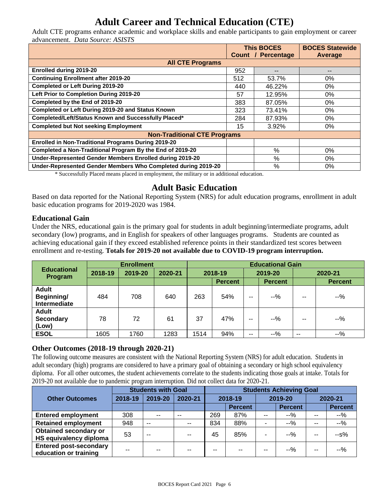## **Adult Career and Technical Education (CTE)**

Adult CTE programs enhance academic and workplace skills and enable participants to gain employment or career advancement. *Data Source: ASISTS*

|                                                               | <b>This BOCES</b> |                           | <b>BOCES Statewide</b> |
|---------------------------------------------------------------|-------------------|---------------------------|------------------------|
|                                                               |                   | <b>Count / Percentage</b> | Average                |
| <b>All CTE Programs</b>                                       |                   |                           |                        |
| <b>Enrolled during 2019-20</b>                                | 952               | --                        | --                     |
| <b>Continuing Enrollment after 2019-20</b>                    | 512               | 53.7%                     | 0%                     |
| <b>Completed or Left During 2019-20</b>                       | 440               | 46.22%                    | $0\%$                  |
| Left Prior to Completion During 2019-20                       | 57                | 12.95%                    | 0%                     |
| Completed by the End of 2019-20                               | 383               | 87.05%                    | 0%                     |
| Completed or Left During 2019-20 and Status Known             | 323               | 73.41%                    | 0%                     |
| Completed/Left/Status Known and Successfully Placed*          | 284               | 87.93%                    | $0\%$                  |
| <b>Completed but Not seeking Employment</b>                   | 15                | 3.92%                     | $0\%$                  |
| <b>Non-Traditional CTE Programs</b>                           |                   |                           |                        |
| <b>Enrolled in Non-Traditional Programs During 2019-20</b>    |                   |                           |                        |
| Completed a Non-Traditional Program By the End of 2019-20     |                   | $\%$                      | 0%                     |
| Under-Represented Gender Members Enrolled during 2019-20      |                   | %                         | $0\%$                  |
| Under-Represented Gender Members Who Completed during 2019-20 |                   | $\%$                      | 0%                     |

\* Successfully Placed means placed in employment, the military or in additional education.

#### **Adult Basic Education**

Based on data reported for the National Reporting System (NRS) for adult education programs, enrollment in adult basic education programs for 2019-2020 was 1984.

#### **Educational Gain**

Under the NRS, educational gain is the primary goal for students in adult beginning/intermediate programs, adult secondary (low) programs, and in English for speakers of other languages programs. Students are counted as achieving educational gain if they exceed established reference points in their standardized test scores between enrollment and re-testing. **Totals for 2019-20 not available due to COVID-19 program interruption.**

|                                                   | <b>Enrollment</b> |         |         | <b>Educational Gain</b> |                           |        |                |       |                |         |  |
|---------------------------------------------------|-------------------|---------|---------|-------------------------|---------------------------|--------|----------------|-------|----------------|---------|--|
| <b>Educational</b><br>Program                     | 2018-19           | 2019-20 | 2020-21 |                         | 2018-19<br><b>Percent</b> |        | 2019-20        |       |                | 2020-21 |  |
|                                                   |                   |         |         |                         |                           |        | <b>Percent</b> |       | <b>Percent</b> |         |  |
| <b>Adult</b><br><b>Beginning/</b><br>Intermediate | 484               | 708     | 640     | 263                     | 54%                       | $\sim$ | $-9/2$         | --    | $-9/2$         |         |  |
| <b>Adult</b><br><b>Secondary</b><br>(Low)         | 78                | 72      | 61      | 37                      | 47%                       | $- -$  | $-9/2$         | --    | $-9/6$         |         |  |
| <b>ESOL</b>                                       | 1605              | 1760    | 1283    | 1514                    | 94%                       | $- -$  | --%            | $- -$ | $-9/0$         |         |  |

#### **Other Outcomes (2018-19 through 2020-21)**

The following outcome measures are consistent with the National Reporting System (NRS) for adult education. Students in adult secondary (high) programs are considered to have a primary goal of obtaining a secondary or high school equivalency diploma. For all other outcomes, the student achievements correlate to the students indicating those goals at intake. Totals for 2019-20 not available due to pandemic program interruption. Did not collect data for 2020-21.

|                                                        | <b>Students with Goal</b> |               |         | <b>Students Achieving Goal</b> |                |         |                |         |                |
|--------------------------------------------------------|---------------------------|---------------|---------|--------------------------------|----------------|---------|----------------|---------|----------------|
| <b>Other Outcomes</b>                                  | 2018-19                   | 2019-20       | 2020-21 | 2018-19                        |                | 2019-20 |                | 2020-21 |                |
|                                                        |                           |               |         |                                | <b>Percent</b> |         | <b>Percent</b> |         | <b>Percent</b> |
| <b>Entered employment</b>                              | 308                       | $\sim$        | $- -$   | 269                            | 87%            | $- -$   | --%            | $- -$   | $-9/0$         |
| <b>Retained employment</b>                             | 948                       | $\sim$ $\sim$ | $- -$   | 834                            | 88%            |         | $-9/0$         | $-$     | --%            |
| <b>Obtained secondary or</b><br>HS equivalency diploma | 53                        | --            | $-$     | 45                             | 85%            |         | $-9/2$         | $- -$   | $-5%$          |
| <b>Entered post-secondary</b><br>education or training | --                        | --            | --      | --                             |                | --      | $-9/2$         | $- -$   | $-9/6$         |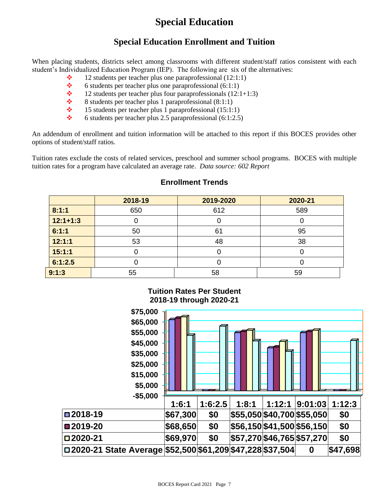## **Special Education**

#### **Special Education Enrollment and Tuition**

When placing students, districts select among classrooms with different student/staff ratios consistent with each student's Individualized Education Program (IEP). The following are six of the alternatives:

- $\div$  12 students per teacher plus one paraprofessional (12:1:1)
- $\div$  6 students per teacher plus one paraprofessional (6:1:1)
- $\div$  12 students per teacher plus four paraprofessionals (12:1+1:3)
- $\bullet$  8 students per teacher plus 1 paraprofessional (8:1:1)
- $\div$  15 students per teacher plus 1 paraprofessional (15:1:1)
- $\div$  6 students per teacher plus 2.5 paraprofessional (6:1:2.5)

An addendum of enrollment and tuition information will be attached to this report if this BOCES provides other options of student/staff ratios.

Tuition rates exclude the costs of related services, preschool and summer school programs. BOCES with multiple tuition rates for a program have calculated an average rate. *Data source: 602 Report*

|            | 2018-19 | 2019-2020 | 2020-21 |
|------------|---------|-----------|---------|
| 8:1:1      | 650     | 612       | 589     |
| $12:1+1:3$ |         |           |         |
| 6:1:1      | 50      | 61        | 95      |
| 12:1:1     | 53      | 48        | 38      |
| 15:1:1     |         |           |         |
| 6:1:2.5    |         |           |         |
| 9:1:3      | 55      | 58        | 59      |

**Tuition Rates Per Student**

#### **Enrollment Trends**

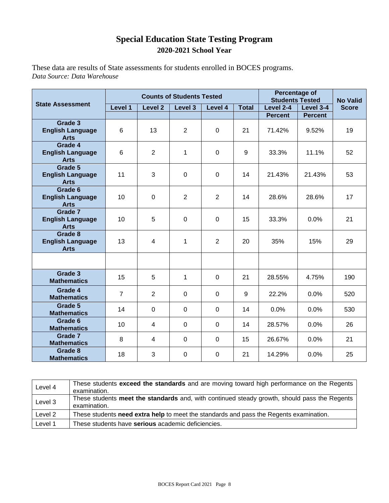### **Special Education State Testing Program 2020-2021 School Year**

These data are results of State assessments for students enrolled in BOCES programs. *Data Source: Data Warehouse*

|                                                   |                |                | <b>Counts of Students Tested</b> | Percentage of<br><b>Students Tested</b> | <b>No Valid</b> |                |                |              |
|---------------------------------------------------|----------------|----------------|----------------------------------|-----------------------------------------|-----------------|----------------|----------------|--------------|
| <b>State Assessment</b>                           | Level 1        | Level 2        | Level 3                          | Level 4                                 | <b>Total</b>    | Level 2-4      | Level 3-4      | <b>Score</b> |
|                                                   |                |                |                                  |                                         |                 | <b>Percent</b> | <b>Percent</b> |              |
| Grade 3<br><b>English Language</b><br><b>Arts</b> | 6              | 13             | $\overline{2}$                   | $\mathbf 0$                             | 21              | 71.42%         | 9.52%          | 19           |
| Grade 4<br><b>English Language</b><br><b>Arts</b> | 6              | $\overline{2}$ | 1                                | $\overline{0}$                          | 9               | 33.3%          | 11.1%          | 52           |
| Grade 5<br><b>English Language</b><br><b>Arts</b> | 11             | 3              | $\mathbf 0$                      | $\mathbf 0$                             | 14              | 21.43%         | 21.43%         | 53           |
| Grade 6<br><b>English Language</b><br><b>Arts</b> | 10             | 0              | $\overline{2}$                   | $\overline{2}$                          | 14              | 28.6%          | 28.6%          | 17           |
| Grade 7<br><b>English Language</b><br><b>Arts</b> | 10             | 5              | $\pmb{0}$                        | $\mathbf 0$                             | 15              | 33.3%          | 0.0%           | 21           |
| Grade 8<br><b>English Language</b><br><b>Arts</b> | 13             | 4              | 1                                | $\overline{2}$                          | 20              | 35%            | 15%            | 29           |
|                                                   |                |                |                                  |                                         |                 |                |                |              |
| Grade 3<br><b>Mathematics</b>                     | 15             | 5              | 1                                | $\mathbf 0$                             | 21              | 28.55%         | 4.75%          | 190          |
| Grade 4<br><b>Mathematics</b>                     | $\overline{7}$ | $\overline{2}$ | $\mathbf 0$                      | $\mathbf 0$                             | 9               | 22.2%          | 0.0%           | 520          |
| Grade 5<br><b>Mathematics</b>                     | 14             | $\Omega$       | $\Omega$                         | $\Omega$                                | 14              | 0.0%           | 0.0%           | 530          |
| Grade 6<br><b>Mathematics</b>                     | 10             | 4              | $\mathbf 0$                      | $\Omega$                                | 14              | 28.57%         | 0.0%           | 26           |
| Grade 7<br><b>Mathematics</b>                     | 8              | $\overline{4}$ | $\mathbf 0$                      | $\overline{0}$                          | 15              | 26.67%         | 0.0%           | 21           |
| Grade 8<br><b>Mathematics</b>                     | 18             | 3              | $\mathbf 0$                      | $\Omega$                                | 21              | 14.29%         | 0.0%           | 25           |

| Level 4 | These students exceed the standards and are moving toward high performance on the Regents<br>examination.    |
|---------|--------------------------------------------------------------------------------------------------------------|
| Level 3 | These students meet the standards and, with continued steady growth, should pass the Regents<br>examination. |
| Level 2 | These students need extra help to meet the standards and pass the Regents examination.                       |
| Level 1 | These students have serious academic deficiencies.                                                           |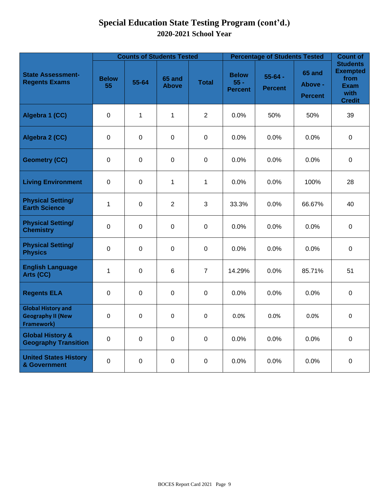## **Special Education State Testing Program (cont'd.) 2020-2021 School Year**

|                                                                            |                    |                | <b>Counts of Students Tested</b> |                | <b>Percentage of Students Tested</b>     | <b>Count of</b>               |                                            |                                                                                    |  |
|----------------------------------------------------------------------------|--------------------|----------------|----------------------------------|----------------|------------------------------------------|-------------------------------|--------------------------------------------|------------------------------------------------------------------------------------|--|
| <b>State Assessment-</b><br><b>Regents Exams</b>                           | <b>Below</b><br>55 | 55-64          | 65 and<br><b>Above</b>           | <b>Total</b>   | <b>Below</b><br>$55 -$<br><b>Percent</b> | $55 - 64 -$<br><b>Percent</b> | <b>65 and</b><br>Above -<br><b>Percent</b> | <b>Students</b><br><b>Exempted</b><br>from<br><b>Exam</b><br>with<br><b>Credit</b> |  |
| Algebra 1 (CC)                                                             | $\mathbf 0$        | 1              | $\mathbf{1}$                     | 2              | 0.0%                                     | 50%                           |                                            | 39                                                                                 |  |
| Algebra 2 (CC)                                                             | $\pmb{0}$          | $\overline{0}$ | $\pmb{0}$                        | $\mathbf 0$    | 0.0%                                     | 0.0%                          | 0.0%                                       | $\pmb{0}$                                                                          |  |
| <b>Geometry (CC)</b>                                                       | $\pmb{0}$          | $\mathbf 0$    | $\mathbf 0$                      | $\mathbf 0$    | 0.0%                                     | 0.0%                          | 0.0%                                       | $\mathbf 0$                                                                        |  |
| <b>Living Environment</b>                                                  | $\pmb{0}$          | $\mathbf 0$    | $\mathbf{1}$                     | $\mathbf{1}$   | 0.0%                                     | 0.0%                          | 100%                                       | 28                                                                                 |  |
| <b>Physical Setting/</b><br><b>Earth Science</b>                           | $\mathbf{1}$       | $\mathbf 0$    | $\overline{2}$                   | 3              | 33.3%                                    | 0.0%                          | 66.67%                                     | 40                                                                                 |  |
| <b>Physical Setting/</b><br><b>Chemistry</b>                               | $\pmb{0}$          | $\mathbf 0$    | $\mathbf 0$                      | $\Omega$       | 0.0%                                     | 0.0%                          | 0.0%                                       | $\mathbf 0$                                                                        |  |
| <b>Physical Setting/</b><br><b>Physics</b>                                 | $\mathbf 0$        | $\mathbf 0$    | $\mathbf 0$                      | $\mathbf 0$    | 0.0%                                     | 0.0%                          | 0.0%                                       | $\mathbf 0$                                                                        |  |
| <b>English Language</b><br>Arts (CC)                                       | $\mathbf{1}$       | $\mathbf 0$    | $\,6\,$                          | $\overline{7}$ | 14.29%                                   | 0.0%                          | 85.71%                                     | 51                                                                                 |  |
| <b>Regents ELA</b>                                                         | $\pmb{0}$          | $\mathbf 0$    | $\pmb{0}$                        | $\mathbf 0$    | 0.0%                                     | 0.0%                          | 0.0%                                       | $\pmb{0}$                                                                          |  |
| <b>Global History and</b><br><b>Geography II (New</b><br><b>Framework)</b> | 0                  | $\Omega$       | 0                                | $\Omega$       | $0.0\%$                                  | 0.0%                          | 0.0%                                       | 0                                                                                  |  |
| <b>Global History &amp;</b><br><b>Geography Transition</b>                 | $\pmb{0}$          | $\mathbf 0$    | $\mathbf 0$                      | $\mathbf 0$    | 0.0%                                     | 0.0%                          | 0.0%                                       | $\mathbf 0$                                                                        |  |
| <b>United States History</b><br>& Government                               | 0                  | 0              | $\mathbf 0$                      | $\mathbf 0$    | 0.0%                                     | 0.0%                          | 0.0%                                       | $\mathbf 0$                                                                        |  |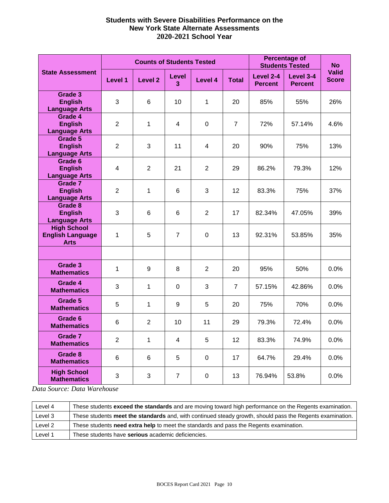#### **Students with Severe Disabilities Performance on the New York State Alternate Assessments 2020-2021 School Year**

|                                                              |                         | <b>Counts of Students Tested</b> |                   | <b>Percentage of</b><br><b>Students Tested</b> | <b>No</b>       |                             |                             |                              |
|--------------------------------------------------------------|-------------------------|----------------------------------|-------------------|------------------------------------------------|-----------------|-----------------------------|-----------------------------|------------------------------|
| <b>State Assessment</b>                                      | <b>Level 1</b>          | <b>Level 2</b>                   | <b>Level</b><br>3 | Level 4                                        | <b>Total</b>    | Level 2-4<br><b>Percent</b> | Level 3-4<br><b>Percent</b> | <b>Valid</b><br><b>Score</b> |
| Grade 3<br><b>English</b><br><b>Language Arts</b>            | 3                       | 6                                | 10                | 1                                              | 20              | 85%                         | 55%                         | 26%                          |
| Grade 4<br><b>English</b><br><b>Language Arts</b>            | $\overline{2}$          | 1                                | 4                 | 0                                              | $\overline{7}$  | 72%                         | 57.14%                      | 4.6%                         |
| Grade 5<br><b>English</b><br><b>Language Arts</b>            | $\overline{2}$          | 3                                | 11                | 4                                              | 20              | 90%                         | 75%                         | 13%                          |
| Grade 6<br><b>English</b><br><b>Language Arts</b>            | $\overline{\mathbf{4}}$ | $\overline{2}$                   | 21                | $\overline{2}$                                 | 29              | 86.2%                       | 79.3%                       | 12%                          |
| Grade 7<br><b>English</b><br><b>Language Arts</b>            | $\overline{2}$          | $\mathbf{1}$                     | 6                 | 3                                              | 12              | 83.3%                       | 75%                         | 37%                          |
| Grade 8<br><b>English</b><br><b>Language Arts</b>            | 3                       | 6                                | 6                 | $\overline{2}$                                 | 17              | 82.34%                      | 47.05%                      | 39%                          |
| <b>High School</b><br><b>English Language</b><br><b>Arts</b> | 1                       | 5                                | $\overline{7}$    | $\mathbf 0$                                    | 13              | 92.31%                      | 53.85%                      | 35%                          |
|                                                              |                         |                                  |                   |                                                |                 |                             |                             |                              |
| Grade 3<br><b>Mathematics</b>                                | $\mathbf{1}$            | 9                                | 8                 | $\overline{2}$                                 | 20              | 95%                         | 50%                         | 0.0%                         |
| Grade 4<br><b>Mathematics</b>                                | 3                       | $\mathbf{1}$                     | $\Omega$          | 3                                              | $\overline{7}$  | 57.15%                      | 42.86%                      | 0.0%                         |
| Grade 5<br><b>Mathematics</b>                                | 5                       | 1                                | 9                 | 5                                              | 20              | 75%                         | 70%                         | 0.0%                         |
| Grade 6<br><b>Mathematics</b>                                | 6                       | $\overline{2}$                   | 10                | 11                                             | 29              | 79.3%                       | 72.4%                       | 0.0%                         |
| Grade 7<br><b>Mathematics</b>                                | $\overline{2}$          | 1                                | 4                 | 5                                              | 12 <sup>2</sup> | 83.3%                       | 74.9%                       | 0.0%                         |
| Grade 8<br><b>Mathematics</b>                                | 6                       | 6                                | 5                 | 0                                              | 17              | 64.7%                       | 29.4%                       | 0.0%                         |
| <b>High School</b><br><b>Mathematics</b>                     | 3                       | 3                                | $\overline{7}$    | 0                                              | 13              | 76.94%                      | 53.8%                       | 0.0%                         |

*Data Source: Data Warehouse*

| Level 4            | These students exceed the standards and are moving toward high performance on the Regents examination.    |
|--------------------|-----------------------------------------------------------------------------------------------------------|
| Level 3            | These students meet the standards and, with continued steady growth, should pass the Regents examination. |
| Level 2            | These students need extra help to meet the standards and pass the Regents examination.                    |
| Level <sup>1</sup> | These students have serious academic deficiencies.                                                        |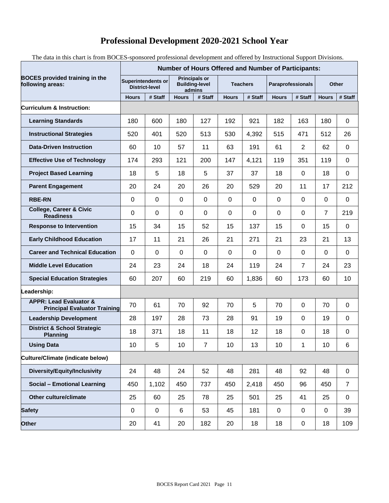## **Professional Development 2020-2021 School Year**

The data in this chart is from BOCES-sponsored professional development and offered by Instructional Support Divisions.

|                                                                          | <b>Number of Hours Offered and Number of Participants:</b> |           |                                                         |                |                 |             |                          |                |                |                |
|--------------------------------------------------------------------------|------------------------------------------------------------|-----------|---------------------------------------------------------|----------------|-----------------|-------------|--------------------------|----------------|----------------|----------------|
| <b>BOCES</b> provided training in the<br>following areas:                | <b>Superintendents or</b><br><b>District-level</b>         |           | <b>Principals or</b><br><b>Building-level</b><br>admins |                | <b>Teachers</b> |             | <b>Paraprofessionals</b> |                | <b>Other</b>   |                |
|                                                                          | <b>Hours</b>                                               | # Staff   | <b>Hours</b>                                            | # Staff        | <b>Hours</b>    | # Staff     | <b>Hours</b>             | # Staff        | <b>Hours</b>   | # Staff        |
| <b>Curriculum &amp; Instruction:</b>                                     |                                                            |           |                                                         |                |                 |             |                          |                |                |                |
| <b>Learning Standards</b>                                                | 180                                                        | 600       | 180                                                     | 127            | 192             | 921         | 182                      | 163            | 180            | 0              |
| <b>Instructional Strategies</b>                                          | 520                                                        | 401       | 520                                                     | 513            | 530             | 4,392       | 515                      | 471            | 512            | 26             |
| <b>Data-Driven Instruction</b>                                           | 60                                                         | 10        | 57                                                      | 11             | 63              | 191         | 61                       | $\overline{2}$ | 62             | 0              |
| <b>Effective Use of Technology</b>                                       | 174                                                        | 293       | 121                                                     | 200            | 147             | 4,121       | 119                      | 351            | 119            | $\mathbf 0$    |
| <b>Project Based Learning</b>                                            | 18                                                         | 5         | 18                                                      | 5              | 37              | 37          | 18                       | 0              | 18             | $\mathbf 0$    |
| <b>Parent Engagement</b>                                                 | 20                                                         | 24        | 20                                                      | 26             | 20              | 529         | 20                       | 11             | 17             | 212            |
| <b>RBE-RN</b>                                                            | 0                                                          | 0         | 0                                                       | $\mathbf 0$    | 0               | 0           | 0                        | 0              | 0              | 0              |
| <b>College, Career &amp; Civic</b><br><b>Readiness</b>                   | 0                                                          | 0         | 0                                                       | $\mathbf 0$    | 0               | $\mathbf 0$ | $\mathbf 0$              | $\mathbf 0$    | $\overline{7}$ | 219            |
| <b>Response to Intervention</b>                                          | 15                                                         | 34        | 15                                                      | 52             | 15              | 137         | 15                       | 0              | 15             | 0              |
| <b>Early Childhood Education</b>                                         | 17                                                         | 11        | 21                                                      | 26             | 21              | 271         | 21                       | 23             | 21             | 13             |
| <b>Career and Technical Education</b>                                    | 0                                                          | 0         | 0                                                       | $\mathbf 0$    | 0               | $\Omega$    | 0                        | 0              | 0              | 0              |
| <b>Middle Level Education</b>                                            | 24                                                         | 23        | 24                                                      | 18             | 24              | 119         | 24                       | $\overline{7}$ | 24             | 23             |
| <b>Special Education Strategies</b>                                      | 60                                                         | 207       | 60                                                      | 219            | 60              | 1,836       | 60                       | 173            | 60             | 10             |
| Leadership:                                                              |                                                            |           |                                                         |                |                 |             |                          |                |                |                |
| <b>APPR: Lead Evaluator &amp;</b><br><b>Principal Evaluator Training</b> | 70                                                         | 61        | 70                                                      | 92             | 70              | 5           | 70                       | 0              | 70             | 0              |
| <b>Leadership Development</b>                                            | 28                                                         | 197       | 28                                                      | 73             | 28              | 91          | 19                       | $\mathbf 0$    | 19             | 0              |
| <b>District &amp; School Strategic</b><br><b>Planning</b>                | 18                                                         | 371       | 18                                                      | 11             | 18              | 12          | 18                       | 0              | 18             | 0              |
| <b>Using Data</b>                                                        | 10                                                         | 5         | 10                                                      | $\overline{7}$ | 10              | 13          | $10$                     | 1              | 10             | 6              |
| Culture/Climate (indicate below)                                         |                                                            |           |                                                         |                |                 |             |                          |                |                |                |
| Diversity/Equity/Inclusivity                                             | 24                                                         | 48        | 24                                                      | 52             | 48              | 281         | 48                       | 92             | 48             | $\pmb{0}$      |
| <b>Social - Emotional Learning</b>                                       | 450                                                        | 1,102     | 450                                                     | 737            | 450             | 2,418       | 450                      | 96             | 450            | $\overline{7}$ |
| Other culture/climate                                                    | 25                                                         | 60        | 25                                                      | 78             | 25              | 501         | 25                       | 41             | 25             | $\pmb{0}$      |
| <b>Safety</b>                                                            | $\pmb{0}$                                                  | $\pmb{0}$ | 6                                                       | 53             | 45              | 181         | $\mathbf 0$              | $\pmb{0}$      | $\pmb{0}$      | 39             |
| Other                                                                    | 20                                                         | 41        | 20                                                      | 182            | 20              | 18          | 18                       | $\pmb{0}$      | 18             | 109            |